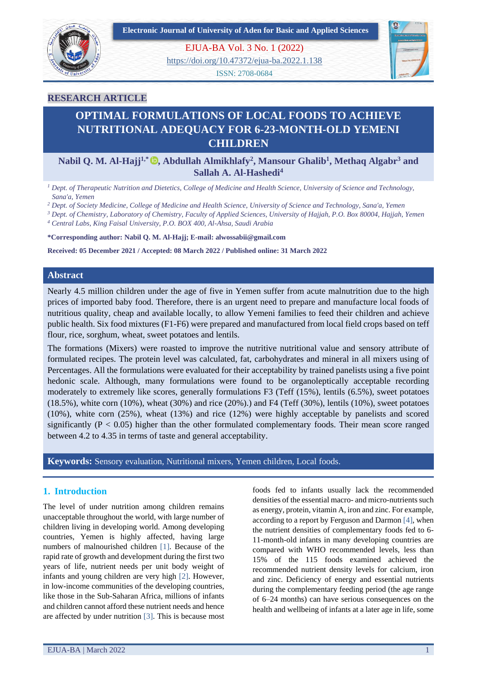**Electronic Journal of University of Aden for Basic and Applied Sciences**



EJUA-BA Vol. 3 No. 1 (2022)

<https://doi.org/10.47372/ejua-ba.2022.1.138>

ISSN: 2708-0684



## **RESEARCH ARTICLE**

## **OPTIMAL FORMULATIONS OF LOCAL FOODS TO ACHIEVE NUTRITIONAL ADEQUACY FOR 6-23-MONTH-OLD YEMENI CHILDREN**

## **Nabil Q. M. Al-Hajj1,\* , Abdullah Almikhlafy<sup>2</sup> , Mansour Ghalib<sup>1</sup> , Methaq Algabr<sup>3</sup> and Sallah A. Al-Hashedi<sup>4</sup>**

*<sup>1</sup> Dept. of Therapeutic Nutrition and Dietetics, College of Medicine and Health Science, University of Science and Technology, Sana'a, Yemen*

*<sup>2</sup> Dept. of Society Medicine, College of Medicine and Health Science, University of Science and Technology, Sana'a, Yemen*

*<sup>3</sup> Dept. of Chemistry, Laboratory of Chemistry, Faculty of Applied Sciences, University of Hajjah, P.O. Box 80004, Hajjah, Yemen*

*<sup>4</sup> Central Labs, King Faisal University, P.O. BOX 400, Al-Ahsa, Saudi Arabia*

**\*Corresponding author: Nabil Q. M. Al-Hajj; E-mail: alwossabii@gmail.com**

**Received: 05 December 2021 / Accepted: 08 March 2022 / Published online: 31 March 2022**

## **Abstract**

Nearly 4.5 million children under the age of five in Yemen suffer from acute malnutrition due to the high prices of imported baby food. Therefore, there is an urgent need to prepare and manufacture local foods of nutritious quality, cheap and available locally, to allow Yemeni families to feed their children and achieve public health. Six food mixtures (F1-F6) were prepared and manufactured from local field crops based on teff flour, rice, sorghum, wheat, sweet potatoes and lentils.

The formations (Mixers) were roasted to improve the nutritive nutritional value and sensory attribute of formulated recipes. The protein level was calculated, fat, carbohydrates and mineral in all mixers using of Percentages. All the formulations were evaluated for their acceptability by trained panelists using a five point hedonic scale. Although, many formulations were found to be organoleptically acceptable recording moderately to extremely like scores, generally formulations F3 (Teff (15%), lentils (6.5%), sweet potatoes  $(18.5\%)$ , white corn  $(10\%)$ , wheat  $(30\%)$  and rice  $(20\%)$ .) and F4 (Teff  $(30\%)$ , lentils  $(10\%)$ , sweet potatoes (10%), white corn (25%), wheat (13%) and rice (12%) were highly acceptable by panelists and scored significantly ( $P < 0.05$ ) higher than the other formulated complementary foods. Their mean score ranged between 4.2 to 4.35 in terms of taste and general acceptability.

**Keywords:** Sensory evaluation, Nutritional mixers, Yemen children, Local foods.

## **1. Introduction**

The level of under nutrition among children remains unacceptable throughout the world, with large number of children living in developing world. Among developing countries, Yemen is highly affected, having large numbers of malnourished children [1]. Because of the rapid rate of growth and development during the first two years of life, nutrient needs per unit body weight of infants and young children are very high [2]. However, in low-income communities of the developing countries, like those in the Sub-Saharan Africa, millions of infants and children cannot afford these nutrient needs and hence are affected by under nutrition [3]. This is because most

foods fed to infants usually lack the recommended densities of the essential macro- and micro-nutrients such as energy, protein, vitamin A, iron and zinc. For example, according to a report by Ferguson and Darmon [4], when the nutrient densities of complementary foods fed to 6- 11-month-old infants in many developing countries are compared with WHO recommended levels, less than 15% of the 115 foods examined achieved the recommended nutrient density levels for calcium, iron and zinc. Deficiency of energy and essential nutrients during the complementary feeding period (the age range of 6–24 months) can have serious consequences on the health and wellbeing of infants at a later age in life, some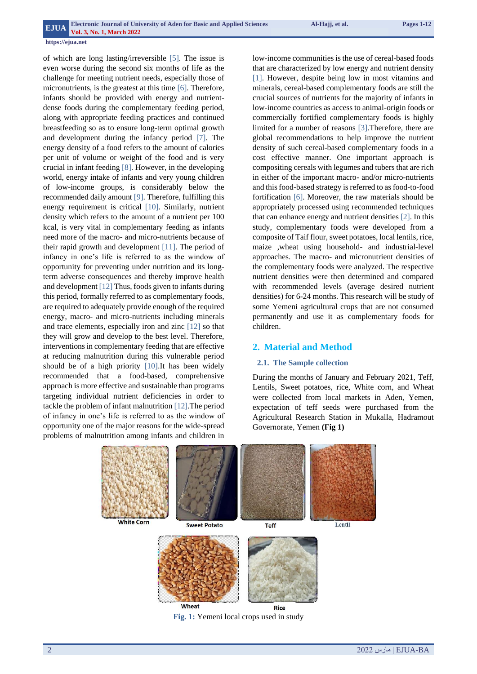of which are long lasting/irreversible [5]. The issue is even worse during the second six months of life as the challenge for meeting nutrient needs, especially those of micronutrients, is the greatest at this time [6]. Therefore, infants should be provided with energy and nutrientdense foods during the complementary feeding period, along with appropriate feeding practices and continued breastfeeding so as to ensure long-term optimal growth and development during the infancy period [7]. The energy density of a food refers to the amount of calories per unit of volume or weight of the food and is very crucial in infant feeding [8]. However, in the developing world, energy intake of infants and very young children of low-income groups, is considerably below the recommended daily amount [9]. Therefore, fulfilling this energy requirement is critical [10]. Similarly, nutrient density which refers to the amount of a nutrient per 100 kcal, is very vital in complementary feeding as infants need more of the macro- and micro-nutrients because of their rapid growth and development [11]. The period of infancy in one's life is referred to as the window of opportunity for preventing under nutrition and its longterm adverse consequences and thereby improve health and development [12] Thus, foods given to infants during this period, formally referred to as complementary foods, are required to adequately provide enough of the required energy, macro- and micro-nutrients including minerals and trace elements, especially iron and zinc [12] so that they will grow and develop to the best level. Therefore, interventions in complementary feeding that are effective at reducing malnutrition during this vulnerable period should be of a high priority [10].It has been widely recommended that a food-based, comprehensive approach is more effective and sustainable than programs targeting individual nutrient deficiencies in order to tackle the problem of infant malnutrition [12].The period of infancy in one's life is referred to as the window of opportunity one of the major reasons for the wide-spread problems of malnutrition among infants and children in

low-income communities is the use of cereal-based foods that are characterized by low energy and nutrient density [1]. However, despite being low in most vitamins and minerals, cereal-based complementary foods are still the crucial sources of nutrients for the majority of infants in low-income countries as access to animal-origin foods or commercially fortified complementary foods is highly limited for a number of reasons [3].Therefore, there are global recommendations to help improve the nutrient density of such cereal-based complementary foods in a cost effective manner. One important approach is compositing cereals with legumes and tubers that are rich in either of the important macro- and/or micro-nutrients and this food-based strategy is referred to as food-to-food fortification [6]. Moreover, the raw materials should be appropriately processed using recommended techniques that can enhance energy and nutrient densities [2]. In this study, complementary foods were developed from a composite of Taif flour, sweet potatoes, local lentils, rice, maize ,wheat using household- and industrial-level approaches. The macro- and micronutrient densities of the complementary foods were analyzed. The respective nutrient densities were then determined and compared with recommended levels (average desired nutrient densities) for 6-24 months. This research will be study of some Yemeni agricultural crops that are not consumed permanently and use it as complementary foods for children.

## **2. Material and Method**

#### **2.1. The Sample collection**

During the months of January and February 2021, Teff, Lentils, Sweet potatoes, rice, White corn, and Wheat were collected from local markets in Aden, Yemen, expectation of teff seeds were purchased from the Agricultural Research Station in Mukalla, Hadramout Governorate, Yemen **(Fig 1)**

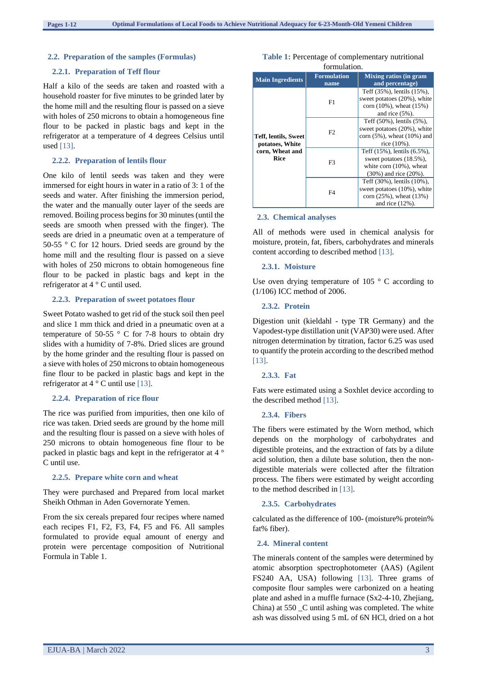#### **2.2. Preparation of the samples (Formulas)**

## **2.2.1. Preparation of Teff flour**

Half a kilo of the seeds are taken and roasted with a household roaster for five minutes to be grinded later by the home mill and the resulting flour is passed on a sieve with holes of 250 microns to obtain a homogeneous fine flour to be packed in plastic bags and kept in the refrigerator at a temperature of 4 degrees Celsius until used [13].

#### **2.2.2. Preparation of lentils flour**

One kilo of lentil seeds was taken and they were immersed for eight hours in water in a ratio of 3: 1 of the seeds and water. After finishing the immersion period, the water and the manually outer layer of the seeds are removed. Boiling process begins for 30 minutes (until the seeds are smooth when pressed with the finger). The seeds are dried in a pneumatic oven at a temperature of 50-55 ° C for 12 hours. Dried seeds are ground by the home mill and the resulting flour is passed on a sieve with holes of 250 microns to obtain homogeneous fine flour to be packed in plastic bags and kept in the refrigerator at 4 ° C until used.

#### **2.2.3. Preparation of sweet potatoes flour**

Sweet Potato washed to get rid of the stuck soil then peel and slice 1 mm thick and dried in a pneumatic oven at a temperature of 50-55  $\degree$  C for 7-8 hours to obtain dry slides with a humidity of 7-8%. Dried slices are ground by the home grinder and the resulting flour is passed on a sieve with holes of 250 microns to obtain homogeneous fine flour to be packed in plastic bags and kept in the refrigerator at  $4^\circ$  C until use [13].

#### **2.2.4. Preparation of rice flour**

The rice was purified from impurities, then one kilo of rice was taken. Dried seeds are ground by the home mill and the resulting flour is passed on a sieve with holes of 250 microns to obtain homogeneous fine flour to be packed in plastic bags and kept in the refrigerator at 4 ° C until use.

#### **2.2.5. Prepare white corn and wheat**

They were purchased and Prepared from local market Sheikh Othman in Aden Governorate Yemen.

From the six cereals prepared four recipes where named each recipes F1, F2, F3, F4, F5 and F6. All samples formulated to provide equal amount of energy and protein were percentage composition of Nutritional Formula in Table 1.

| <b>Those 11 I creenings</b> of complementary metricollar |                            |                                                                                                                   |  |  |  |  |  |
|----------------------------------------------------------|----------------------------|-------------------------------------------------------------------------------------------------------------------|--|--|--|--|--|
| formulation.                                             |                            |                                                                                                                   |  |  |  |  |  |
| <b>Main Ingredients</b>                                  | <b>Formulation</b><br>name | <b>Mixing ratios (in gram</b><br>and percentage)                                                                  |  |  |  |  |  |
|                                                          | F1                         | Teff (35%), lentils (15%),<br>sweet potatoes (20%), white<br>corn $(10\%)$ , wheat $(15\%)$<br>and rice $(5\%)$ . |  |  |  |  |  |
|                                                          |                            | Teff (50%), lentils (5%),<br>sweet potatoes (20%), white                                                          |  |  |  |  |  |

corn (5%), wheat (10%) and rice (10%).

Teff (15%), lentils (6.5%), sweet potatoes (18.5%), white corn (10%), wheat (30%) and rice (20%).

Teff (30%), lentils (10%), sweet potatoes (10%), white corn (25%), wheat (13%) and rice (12%).

 $F<sub>2</sub>$ 

F3

 $E4$ 

**Table 1:** Percentage of complementary nutritional

# **2.3. Chemical analyses**

All of methods were used in chemical analysis for moisture, protein, fat, fibers, carbohydrates and minerals content according to described method [13].

#### **2.3.1. Moisture**

**Teff, lentils, Sweet potatoes, White corn, Wheat and Rice**

Use oven drying temperature of 105 $\degree$  C according to (1/106) ICC method of 2006.

#### **2.3.2. Protein**

Digestion unit (kieldahl - type TR Germany) and the Vapodest-type distillation unit (VAP30) were used. After nitrogen determination by titration, factor 6.25 was used to quantify the protein according to the described method [13].

#### **2.3.3. Fat**

Fats were estimated using a Soxhlet device according to the described method [13].

#### **2.3.4. Fibers**

The fibers were estimated by the Worn method, which depends on the morphology of carbohydrates and digestible proteins, and the extraction of fats by a dilute acid solution, then a dilute base solution, then the nondigestible materials were collected after the filtration process. The fibers were estimated by weight according to the method described in [13].

#### **2.3.5. Carbohydrates**

calculated as the difference of 100- (moisture% protein% fat% fiber).

#### **2.4. Mineral content**

The minerals content of the samples were determined by atomic absorption spectrophotometer (AAS) (Agilent FS240 AA, USA) following [13]. Three grams of composite flour samples were carbonized on a heating plate and ashed in a muffle furnace (Sx2-4-10, Zhejiang, China) at 550 \_C until ashing was completed. The white ash was dissolved using 5 mL of 6N HCl, dried on a hot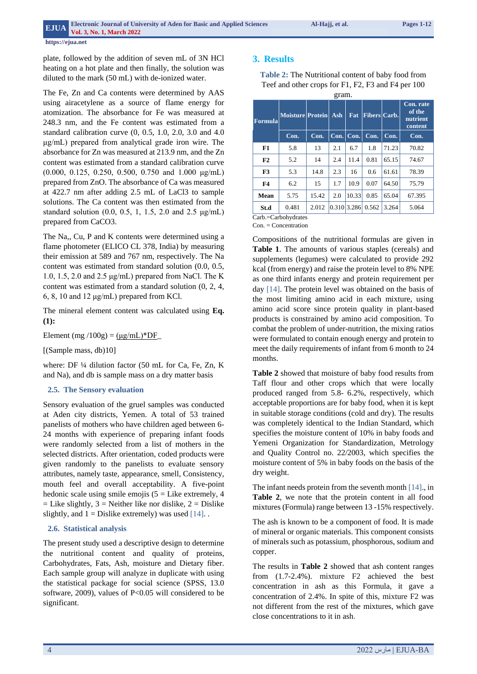plate, followed by the addition of seven mL of 3N HCl heating on a hot plate and then finally, the solution was diluted to the mark (50 mL) with de-ionized water.

The Fe, Zn and Ca contents were determined by AAS using airacetylene as a source of flame energy for atomization. The absorbance for Fe was measured at 248.3 nm, and the Fe content was estimated from a standard calibration curve (0, 0.5, 1.0, 2.0, 3.0 and 4.0 μg/mL) prepared from analytical grade iron wire. The absorbance for Zn was measured at 213.9 nm, and the Zn content was estimated from a standard calibration curve (0.000, 0.125, 0.250, 0.500, 0.750 and 1.000 μg/mL) prepared from ZnO. The absorbance of Ca was measured at 422.7 nm after adding 2.5 mL of LaCl3 to sample solutions. The Ca content was then estimated from the standard solution (0.0, 0.5, 1, 1.5, 2.0 and 2.5 μg/mL) prepared from CaCO3.

The Na,, Cu, P and K contents were determined using a flame photometer (ELICO CL 378, India) by measuring their emission at 589 and 767 nm, respectively. The Na content was estimated from standard solution (0.0, 0.5, 1.0, 1.5, 2.0 and 2.5 μg/mL) prepared from NaCl. The K content was estimated from a standard solution (0, 2, 4, 6, 8, 10 and 12 μg/mL) prepared from KCl.

The mineral element content was calculated using **Eq. (1):**

Element (mg /100g) =  $(\mu g/mL)^*DF$ 

[(Sample mass, db)10]

where: DF ¼ dilution factor (50 mL for Ca, Fe, Zn, K and Na), and db is sample mass on a dry matter basis

#### **2.5. The Sensory evaluation**

Sensory evaluation of the gruel samples was conducted at Aden city districts, Yemen. A total of 53 trained panelists of mothers who have children aged between 6- 24 months with experience of preparing infant foods were randomly selected from a list of mothers in the selected districts. After orientation, coded products were given randomly to the panelists to evaluate sensory attributes, namely taste, appearance, smell, Consistency, mouth feel and overall acceptability. A five-point hedonic scale using smile emojis  $(5 =$  Like extremely, 4  $=$  Like slightly,  $3 =$  Neither like nor dislike,  $2 =$  Dislike slightly, and  $1 =$  Dislike extremely) was used [14].

#### **2.6. Statistical analysis**

The present study used a descriptive design to determine the nutritional content and quality of proteins, Carbohydrates, Fats, Ash, moisture and Dietary fiber. Each sample group will analyze in duplicate with using the statistical package for social science (SPSS, 13.0 software, 2009), values of  $P<0.05$  will considered to be significant.

## **3. Results**

**Table 2:** The Nutritional content of baby food from Teef and other crops for F1, F2, F3 and F4 per 100

| gram.          |                         |       |             |       |              |       |                                            |
|----------------|-------------------------|-------|-------------|-------|--------------|-------|--------------------------------------------|
| <b>Formula</b> | <b>Moisture Protein</b> |       | Ash         | Fat   | Fibers Carb. |       | Con. rate<br>of the<br>nutrient<br>content |
|                | Con.                    | Con.  | Con.        | Con.  | Con.         | Con.  | Con.                                       |
| F1             | 5.8                     | 13    | 2.1         | 6.7   | 1.8          | 71.23 | 70.82                                      |
| F2             | 5.2                     | 14    | 2.4         | 11.4  | 0.81         | 65.15 | 74.67                                      |
| F3             | 5.3                     | 14.8  | 2.3         | 16    | 0.6          | 61.61 | 78.39                                      |
| F <sub>4</sub> | 6.2                     | 15    | 1.7         | 10.9  | 0.07         | 64.50 | 75.79                                      |
| Mean           | 5.75                    | 15.42 | 2.0         | 10.33 | 0.85         | 65.04 | 67.395                                     |
| St.d           | 0.481                   | 2.012 | 0.310 3.286 |       | 0.562        | 3.264 | 5.064                                      |

Carb.=Carbohydrates

Con. = Concentration

Compositions of the nutritional formulas are given in **Table 1**. The amounts of various staples (cereals) and supplements (legumes) were calculated to provide 292 kcal (from energy) and raise the protein level to 8% NPE as one third infants energy and protein requirement per day [14]. The protein level was obtained on the basis of the most limiting amino acid in each mixture, using amino acid score since protein quality in plant-based products is constrained by amino acid composition. To combat the problem of under-nutrition, the mixing ratios were formulated to contain enough energy and protein to meet the daily requirements of infant from 6 month to 24 months.

**Table 2** showed that moisture of baby food results from Taff flour and other crops which that were locally produced ranged from 5.8- 6.2%, respectively, which acceptable proportions are for baby food, when it is kept in suitable storage conditions (cold and dry). The results was completely identical to the Indian Standard, which specifies the moisture content of 10% in baby foods and Yemeni Organization for Standardization, Metrology and Quality Control no. 22/2003, which specifies the moisture content of 5% in baby foods on the basis of the dry weight.

The infant needs protein from the seventh month [14]., in **Table 2**, we note that the protein content in all food mixtures (Formula) range between 13 -15% respectively.

The ash is known to be a component of food. It is made of mineral or organic materials. This component consists of minerals such as potassium, phosphorous, sodium and copper.

The results in **Table 2** showed that ash content ranges from (1.7-2.4%). mixture F2 achieved the best concentration in ash as this Formula, it gave a concentration of 2.4%. In spite of this, mixture F2 was not different from the rest of the mixtures, which gave close concentrations to it in ash.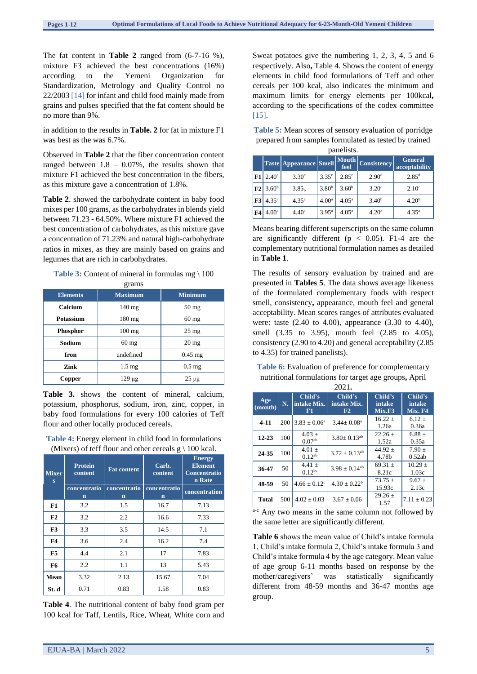The fat content in **Table 2** ranged from (6-7-16 %), mixture F3 achieved the best concentrations (16%) according to the Yemeni Organization for Standardization, Metrology and Quality Control no 22/2003 [14] for infant and child food mainly made from grains and pulses specified that the fat content should be no more than 9%.

in addition to the results in **Table. 2** for fat in mixture F1 was best as the was 6.7%.

Observed in **Table 2** that the fiber concentration content ranged between  $1.8 - 0.07\%$ , the results shown that mixture F1 achieved the best concentration in the fibers, as this mixture gave a concentration of 1.8%.

T**able 2**. showed the carbohydrate content in baby food mixes per 100 grams, as the carbohydrates in blends yield between 71.23 - 64.50%. Where mixture F1 achieved the best concentration of carbohydrates, as this mixture gave a concentration of 71.23% and natural high-carbohydrate ratios in mixes, as they are mainly based on grains and legumes that are rich in carbohydrates.

#### **Table 3:** Content of mineral in formulas mg \ 100

| grams            |                  |                 |  |  |  |  |
|------------------|------------------|-----------------|--|--|--|--|
| <b>Elements</b>  | <b>Maximum</b>   | <b>Minimum</b>  |  |  |  |  |
| Calcium          | $140$ mg         | $50 \text{ mg}$ |  |  |  |  |
| <b>Potassium</b> | $180$ mg         | $60$ mg         |  |  |  |  |
| <b>Phosphor</b>  | $100 \text{ mg}$ | $25 \text{ mg}$ |  |  |  |  |
| Sodium           | $60$ mg          | $20 \text{ mg}$ |  |  |  |  |
| <b>Iron</b>      | undefined        | $0.45$ mg       |  |  |  |  |
| Zink             | $1.5 \text{ mg}$ | $0.5$ mg        |  |  |  |  |
| Copper           | $129 \mu g$      | $25 \mu g$      |  |  |  |  |

**Table 3.** shows the content of mineral, calcium, potassium, phosphorus, sodium, iron, zinc, copper, in baby food formulations for every 100 calories of Teff flour and other locally produced cereals.

#### **Table 4:** Energy element in child food in formulations (Mixers) of teff flour and other cereals  $g \mid 100$  kcal.

| <b>Mixer</b><br>$\bf{s}$ | <b>Protein</b><br>content | <b>Fat content</b>                      | Carb.<br>content            | <b>Energy</b><br><b>Element</b><br><b>Concentratio</b><br>n Rate |
|--------------------------|---------------------------|-----------------------------------------|-----------------------------|------------------------------------------------------------------|
|                          | concentratio<br>n         | concentratio<br>$\overline{\mathbf{n}}$ | concentratio<br>$\mathbf n$ | concentration                                                    |
| F1                       | 3.2                       | 1.5                                     | 16.7                        | 7.13                                                             |
| F2                       | 3.2                       | 2.2                                     | 16.6                        | 7.33                                                             |
| F <sub>3</sub>           | 3.3                       | 3.5                                     | 14.5                        | 7.1                                                              |
| F <sub>4</sub>           | 3.6                       | 2.4                                     | 16.2                        | 7.4                                                              |
| F <sub>5</sub>           | 4.4                       | 2.1                                     | 17                          | 7.83                                                             |
| F6                       | $2.2\phantom{0}$          | 1.1                                     | 13                          | 5.43                                                             |
| Mean                     | 3.32                      | 2.13                                    | 15.67                       | 7.04                                                             |
| St. d                    | 0.71                      | 0.83                                    | 1.58                        | 0.83                                                             |

**Table 4**. The nutritional content of baby food gram per 100 kcal for Taff, Lentils, Rice, Wheat, White corn and Sweat potatoes give the numbering 1, 2, 3, 4, 5 and 6 respectively. Also**,** Table 4. Shows the content of energy elements in child food formulations of Teff and other cereals per 100 kcal, also indicates the minimum and maximum limits for energy elements per 100kcal**,**  according to the specifications of the codex committee [15].

**Table 5:** Mean scores of sensory evaluation of porridge prepared from samples formulated as tested by trained panelists.

|                |                          | <b>Taste Appearance Smell</b> |                   | <b>Mouth</b><br>feel | <b>Consistency</b> | <b>General</b><br>acceptability |
|----------------|--------------------------|-------------------------------|-------------------|----------------------|--------------------|---------------------------------|
| F1             | $2.40^\circ$             | 3.30 <sup>c</sup>             | $3.35^{\circ}$    | 2.85 <sup>c</sup>    | 2.90 <sup>d</sup>  | $2.85^{\rm d}$                  |
|                | $ F2 $ 3.60 <sup>b</sup> | 3.85 <sub>h</sub>             | 3.80 <sup>b</sup> | 3.60 <sup>b</sup>    | $3.20^{\circ}$     | 2.10 <sup>c</sup>               |
| F3             | $4.35^{a}$               | $4.35^{a}$                    | 4.00 <sup>a</sup> | $4.05^{\rm a}$       | 3.40 <sup>b</sup>  | 4.20 <sup>b</sup>               |
| F <sub>4</sub> | 4.00 <sup>a</sup>        | $4.40^{\circ}$                | $3.95^{\rm a}$    | $4.05^{\rm a}$       | 4.20 <sup>a</sup>  | $4.35^{\rm a}$                  |

Means bearing different superscripts on the same column are significantly different ( $p < 0.05$ ). F1-4 are the complementary nutritional formulation names as detailed in **Table 1**.

The results of sensory evaluation by trained and are presented in **Tables 5**. The data shows average likeness of the formulated complementary foods with respect smell, consistency**,** appearance, mouth feel and general acceptability. Mean scores ranges of attributes evaluated were: taste (2.40 to 4.00), appearance (3.30 to 4.40), smell (3.35 to 3.95), mouth feel (2.85 to 4.05), consistency (2.90 to 4.20) and general acceptability (2.85 to 4.35) for trained panelists).

**Table 6:** Evaluation of preference for complementary nutritional formulations for target age groups**,** April

| 2021.          |     |                              |                               |                             |                              |  |
|----------------|-----|------------------------------|-------------------------------|-----------------------------|------------------------------|--|
| Age<br>(month) | N.  | Child's<br>intake Mix.<br>F1 | Child's<br>intake Mix.<br>F2  | Child's<br>intake<br>Mix.F3 | Child's<br>intake<br>Mix. F4 |  |
| $4 - 11$       | 200 | $3.83 \pm 0.06^a$            | $3.44 + 0.08a$                | $16.22 +$<br>1.26a          | $6.12 +$<br>0.36a            |  |
| $12 - 23$      | 100 | $4.03 \pm$<br>$0.07^{ab}$    | $3.80 \pm 0.13$ <sup>ab</sup> | $22.26 +$<br>1.52a          | $6.88 +$<br>0.35a            |  |
| 24-35          | 100 | $4.01 \pm$<br>$0.12^{ab}$    | $3.72 \pm 0.13^{ab}$          | 44.92 $\pm$<br>4.78b        | $7.90 \pm$<br>0.52ab         |  |
| 36-47          | 50  | $4.41 +$<br>$0.12^{bc}$      | $3.98 \pm 0.14^{ab}$          | $69.31 +$<br>8.21c          | $10.29 +$<br>1.03c           |  |
| 48-59          | 50  | $4.66 \pm 0.12$ <sup>c</sup> | $4.30 + 0.22^b$               | $73.75 +$<br>15.93c         | $9.67 \pm$<br>2.13c          |  |
| <b>Total</b>   | 500 | $4.02 + 0.03$                | $3.67 + 0.06$                 | $29.26 +$<br>1.57           | $7.11 \pm 0.23$              |  |

a-c Any two means in the same column not followed by the same letter are significantly different.

**Table 6** shows the mean value of Child's intake formula 1, Child's intake formula 2, Child's intake formula 3 and Child's intake formula 4 by the age category. Mean value of age group 6-11 months based on response by the mother/caregivers' was statistically significantly different from 48-59 months and 36-47 months age group.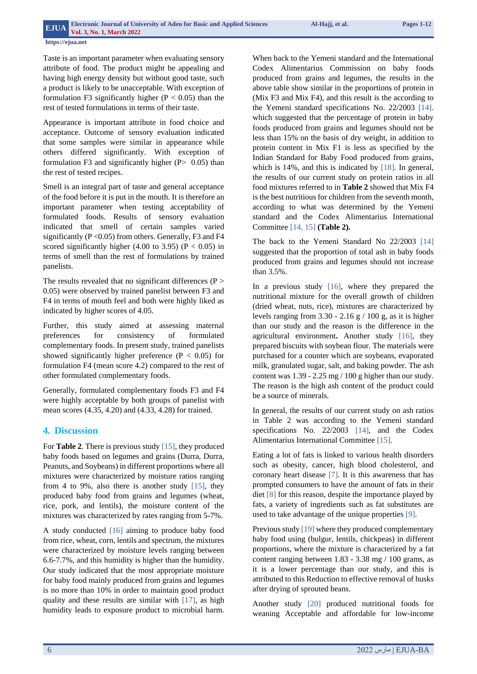Taste is an important parameter when evaluating sensory attribute of food. The product might be appealing and having high energy density but without good taste, such a product is likely to be unacceptable. With exception of formulation F3 significantly higher ( $P < 0.05$ ) than the rest of tested formulations in terms of their taste.

Appearance is important attribute in food choice and acceptance. Outcome of sensory evaluation indicated that some samples were similar in appearance while others differed significantly. With exception of formulation F3 and significantly higher  $(P > 0.05)$  than the rest of tested recipes.

Smell is an integral part of taste and general acceptance of the food before it is put in the mouth. It is therefore an important parameter when testing acceptability of formulated foods. Results of sensory evaluation indicated that smell of certain samples varied significantly ( $P < 0.05$ ) from others. Generally, F3 and F4 scored significantly higher (4.00 to 3.95) ( $P < 0.05$ ) in terms of smell than the rest of formulations by trained panelists.

The results revealed that no significant differences  $(P >$ 0.05) were observed by trained panelist between F3 and F4 in terms of mouth feel and both were highly liked as indicated by higher scores of 4.05.

Further, this study aimed at assessing maternal preferences for consistency of formulated complementary foods. In present study, trained panelists showed significantly higher preference ( $P < 0.05$ ) for formulation F4 (mean score 4.2) compared to the rest of other formulated complementary foods.

Generally, formulated complementary foods F3 and F4 were highly acceptable by both groups of panelist with mean scores (4.35, 4.20) and (4.33, 4.28) for trained.

## **4. Discussion**

For **Table 2**. There is previous study [15], they produced baby foods based on legumes and grains (Durra, Durra, Peanuts, and Soybeans) in different proportions where all mixtures were characterized by moisture ratios ranging from 4 to 9%, also there is another study [15], they produced baby food from grains and legumes (wheat, rice, pork, and lentils), the moisture content of the mixtures was characterized by rates ranging from 5-7%.

A study conducted [16] aiming to produce baby food from rice, wheat, corn, lentils and spectrum, the mixtures were characterized by moisture levels ranging between 6.6-7.7%, and this humidity is higher than the humidity. Our study indicated that the most appropriate moisture for baby food mainly produced from grains and legumes is no more than 10% in order to maintain good product quality and these results are similar with [17], as high humidity leads to exposure product to microbial harm.

When back to the Yemeni standard and the International Codex Alimentarius Commission on baby foods produced from grains and legumes, the results in the above table show similar in the proportions of protein in (Mix F3 and Mix F4), and this result is the according to the Yemeni standard specifications No. 22/2003 [14]. which suggested that the percentage of protein in baby foods produced from grains and legumes should not be less than 15% on the basis of dry weight, in addition to protein content in Mix F1 is less as specified by the Indian Standard for Baby Food produced from grains, which is 14%, and this is indicated by [18]. In general, the results of our current study on protein ratios in all food mixtures referred to in **Table 2** showed that Mix F4 is the best nutritious for children from the seventh month, according to what was determined by the Yemeni standard and the Codex Alimentarius International Committee [14, 15] **(Table 2).**

The back to the Yemeni Standard No 22/2003 [14] suggested that the proportion of total ash in baby foods produced from grains and legumes should not increase than 3.5%.

In a previous study [16], where they prepared the nutritional mixture for the overall growth of children (dried wheat, nuts, rice), mixtures are characterized by levels ranging from  $3.30 - 2.16$  g  $/ 100$  g, as it is higher than our study and the reason is the difference in the agricultural environment**.** Another study [16], they prepared biscuits with soybean flour. The materials were purchased for a counter which are soybeans, evaporated milk, granulated sugar, salt, and baking powder. The ash content was 1.39 - 2.25 mg / 100 g higher than our study. The reason is the high ash content of the product could be a source of minerals.

In general, the results of our current study on ash ratios in Table 2 was according to the Yemeni standard specifications No. 22/2003 [14], and the Codex Alimentarius International Committee [15].

Eating a lot of fats is linked to various health disorders such as obesity, cancer, high blood cholesterol, and coronary heart disease [7]. It is this awareness that has prompted consumers to have the amount of fats in their diet [8] for this reason, despite the importance played by fats, a variety of ingredients such as fat substitutes are used to take advantage of the unique properties [9].

Previous study [19] where they produced complementary baby food using (bulgur, lentils, chickpeas) in different proportions, where the mixture is characterized by a fat content ranging between 1.83 - 3.38 mg / 100 grams, as it is a lower percentage than our study, and this is attributed to this Reduction to effective removal of husks after drying of sprouted beans.

Another study [20] produced nutritional foods for weaning Acceptable and affordable for low-income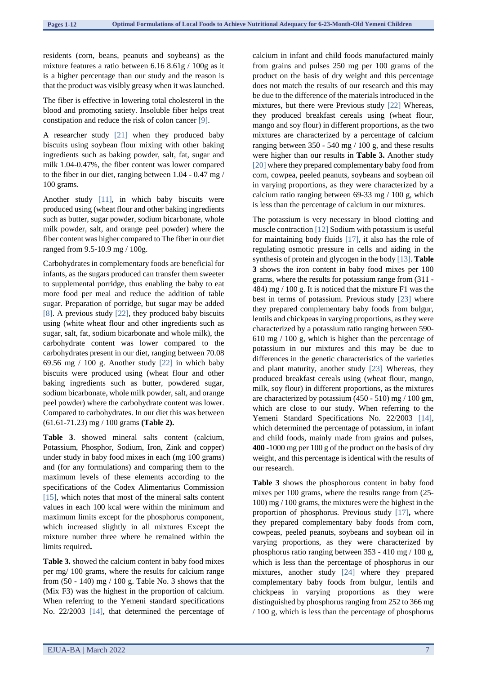residents (corn, beans, peanuts and soybeans) as the mixture features a ratio between 6.16 8.61g / 100g as it is a higher percentage than our study and the reason is that the product was visibly greasy when it was launched.

The fiber is effective in lowering total cholesterol in the blood and promoting satiety. Insoluble fiber helps treat constipation and reduce the risk of colon cancer [9].

A researcher study [21] when they produced baby biscuits using soybean flour mixing with other baking ingredients such as baking powder, salt, fat, sugar and milk 1.04-0.47%, the fiber content was lower compared to the fiber in our diet, ranging between 1.04 - 0.47 mg / 100 grams.

Another study [11], in which baby biscuits were produced using (wheat flour and other baking ingredients such as butter, sugar powder, sodium bicarbonate, whole milk powder, salt, and orange peel powder) where the fiber content was higher compared to The fiber in our diet ranged from 9.5-10.9 mg / 100g.

Carbohydrates in complementary foods are beneficial for infants, as the sugars produced can transfer them sweeter to supplemental porridge, thus enabling the baby to eat more food per meal and reduce the addition of table sugar. Preparation of porridge, but sugar may be added [8]. A previous study [22], they produced baby biscuits using (white wheat flour and other ingredients such as sugar, salt, fat, sodium bicarbonate and whole milk), the carbohydrate content was lower compared to the carbohydrates present in our diet, ranging between 70.08 69.56 mg / 100 g. Another study [22] in which baby biscuits were produced using (wheat flour and other baking ingredients such as butter, powdered sugar, sodium bicarbonate, whole milk powder, salt, and orange peel powder) where the carbohydrate content was lower. Compared to carbohydrates. In our diet this was between (61.61-71.23) mg / 100 grams **(Table 2).**

**Table 3**. showed mineral salts content (calcium, Potassium, Phosphor, Sodium, Iron, Zink and copper) under study in baby food mixes in each (mg 100 grams) and (for any formulations) and comparing them to the maximum levels of these elements according to the specifications of the Codex Alimentarius Commission [15], which notes that most of the mineral salts content values in each 100 kcal were within the minimum and maximum limits except for the phosphorus component, which increased slightly in all mixtures Except the mixture number three where he remained within the limits required**.**

**Table 3.** showed the calcium content in baby food mixes per mg/ 100 grams, where the results for calcium range from  $(50 - 140)$  mg  $/ 100$  g. Table No. 3 shows that the (Mix F3) was the highest in the proportion of calcium. When referring to the Yemeni standard specifications No. 22/2003 [14], that determined the percentage of

calcium in infant and child foods manufactured mainly from grains and pulses 250 mg per 100 grams of the product on the basis of dry weight and this percentage does not match the results of our research and this may be due to the difference of the materials introduced in the mixtures, but there were Previous study [22] Whereas, they produced breakfast cereals using (wheat flour, mango and soy flour) in different proportions, as the two mixtures are characterized by a percentage of calcium ranging between 350 - 540 mg / 100 g, and these results were higher than our results in **Table 3.** Another study [20] where they prepared complementary baby food from corn, cowpea, peeled peanuts, soybeans and soybean oil in varying proportions, as they were characterized by a calcium ratio ranging between 69-33 mg / 100 g, which is less than the percentage of calcium in our mixtures.

The potassium is very necessary in blood clotting and muscle contraction [12] Sodium with potassium is useful for maintaining body fluids [17], it also has the role of regulating osmotic pressure in cells and aiding in the synthesis of protein and glycogen in the body [13]. **Table 3** shows the iron content in baby food mixes per 100 grams, where the results for potassium range from (311 - 484) mg / 100 g. It is noticed that the mixture F1 was the best in terms of potassium. Previous study [23] where they prepared complementary baby foods from bulgur, lentils and chickpeas in varying proportions, as they were characterized by a potassium ratio ranging between 590- 610 mg / 100 g, which is higher than the percentage of potassium in our mixtures and this may be due to differences in the genetic characteristics of the varieties and plant maturity, another study [23] Whereas, they produced breakfast cereals using (wheat flour, mango, milk, soy flour) in different proportions, as the mixtures are characterized by potassium (450 - 510) mg / 100 gm, which are close to our study. When referring to the Yemeni Standard Specifications No. 22/2003 [14], which determined the percentage of potassium, in infant and child foods, mainly made from grains and pulses, **400 -**1000 mg per 100 g of the product on the basis of dry weight, and this percentage is identical with the results of our research.

**Table 3** shows the phosphorous content in baby food mixes per 100 grams, where the results range from (25- 100) mg / 100 grams, the mixtures were the highest in the proportion of phosphorus. Previous study [17]**,** where they prepared complementary baby foods from corn, cowpeas, peeled peanuts, soybeans and soybean oil in varying proportions, as they were characterized by phosphorus ratio ranging between 353 - 410 mg / 100 g, which is less than the percentage of phosphorus in our mixtures, another study [24] where they prepared complementary baby foods from bulgur, lentils and chickpeas in varying proportions as they were distinguished by phosphorus ranging from 252 to 366 mg / 100 g, which is less than the percentage of phosphorus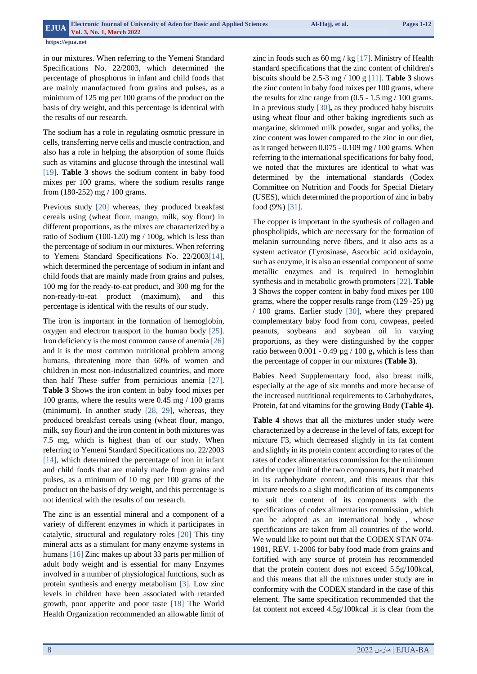in our mixtures. When referring to the Yemeni Standard Specifications No. 22/2003, which determined the percentage of phosphorus in infant and child foods that are mainly manufactured from grains and pulses, as a minimum of 125 mg per 100 grams of the product on the basis of dry weight, and this percentage is identical with the results of our research.

The sodium has a role in regulating osmotic pressure in cells, transferring nerve cells and muscle contraction, and also has a role in helping the absorption of some fluids such as vitamins and glucose through the intestinal wall [19]. **Table 3** shows the sodium content in baby food mixes per 100 grams, where the sodium results range from (180-252) mg / 100 grams.

Previous study [20] whereas, they produced breakfast cereals using (wheat flour, mango, milk, soy flour) in different proportions, as the mixes are characterized by a ratio of Sodium (100-120) mg / 100g, which is less than the percentage of sodium in our mixtures. When referring to Yemeni Standard Specifications No. 22/2003[14], which determined the percentage of sodium in infant and child foods that are mainly made from grains and pulses, 100 mg for the ready-to-eat product, and 300 mg for the non-ready-to-eat product (maximum), and this percentage is identical with the results of our study.

The iron is important in the formation of hemoglobin, oxygen and electron transport in the human body [25]. Iron deficiency is the most common cause of anemia [26] and it is the most common nutritional problem among humans, threatening more than 60% of women and children in most non-industrialized countries, and more than half These suffer from pernicious anemia [27]. **Table 3** Shows the iron content in baby food mixes per 100 grams, where the results were 0.45 mg / 100 grams (minimum). In another study [28, 29], whereas, they produced breakfast cereals using (wheat flour, mango, milk, soy flour) and the iron content in both mixtures was 7.5 mg, which is highest than of our study. When referring to Yemeni Standard Specifications no. 22/2003 [14], which determined the percentage of iron in infant and child foods that are mainly made from grains and pulses, as a minimum of 10 mg per 100 grams of the product on the basis of dry weight, and this percentage is not identical with the results of our research.

The zinc is an essential mineral and a component of a variety of different enzymes in which it participates in catalytic, structural and regulatory roles [20] This tiny mineral acts as a stimulant for many enzyme systems in humans [16] Zinc makes up about 33 parts per million of adult body weight and is essential for many Enzymes involved in a number of physiological functions, such as protein synthesis and energy metabolism [3]. Low zinc levels in children have been associated with retarded growth, poor appetite and poor taste [18] The World Health Organization recommended an allowable limit of

zinc in foods such as  $60 \text{ mg}$  / kg [17]. Ministry of Health standard specifications that the zinc content of children's biscuits should be 2.5-3 mg / 100 g [11]. **Table 3** shows the zinc content in baby food mixes per 100 grams, where the results for zinc range from  $(0.5 - 1.5 \text{ mg} / 100 \text{ grams})$ . In a previous study [30]**,** as they produced baby biscuits using wheat flour and other baking ingredients such as margarine, skimmed milk powder, sugar and yolks, the zinc content was lower compared to the zinc in our diet, as it ranged between  $0.075 - 0.109$  mg  $/ 100$  grams. When referring to the international specifications for baby food, we noted that the mixtures are identical to what was determined by the international standards (Codex Committee on Nutrition and Foods for Special Dietary (USES), which determined the proportion of zinc in baby food (9%) [31].

The copper is important in the synthesis of collagen and phospholipids, which are necessary for the formation of melanin surrounding nerve fibers, and it also acts as a system activator (Tyrosinase, Ascorbic acid oxidayoin, such as enzyme, it is also an essential component of some metallic enzymes and is required in hemoglobin synthesis and in metabolic growth promoters [22]. **Table 3** Shows the copper content in baby food mixes per 100 grams, where the copper results range from (129 -25) µg / 100 grams. Earlier study [30], where they prepared complementary baby food from corn, cowpeas, peeled peanuts, soybeans and soybean oil in varying proportions, as they were distinguished by the copper ratio between 0.001 - 0.49 µg / 100 g**,** which is less than the percentage of copper in our mixtures **(Table 3)**.

Babies Need Supplementary food, also breast milk, especially at the age of six months and more because of the increased nutritional requirements to Carbohydrates, Protein, fat and vitamins for the growing Body **(Table 4).**

**Table 4** shows that all the mixtures under study were characterized by a decrease in the level of fats, except for mixture F3, which decreased slightly in its fat content and slightly in its protein content according to rates of the rates of codex alimentarius commission for the minimum and the upper limit of the two components, but it matched in its carbohydrate content, and this means that this mixture needs to a slight modification of its components to suit the content of its components with the specifications of codex alimentarius commission , which can be adopted as an international body , whose specifications are taken from all countries of the world. We would like to point out that the CODEX STAN 074- 1981, REV. 1-2006 for baby food made from grains and fortified with any source of protein has recommended that the protein content does not exceed 5.5g/100kcal, and this means that all the mixtures under study are in conformity with the CODEX standard in the case of this element. The same specification recommended that the fat content not exceed 4.5g/100kcal .it is clear from the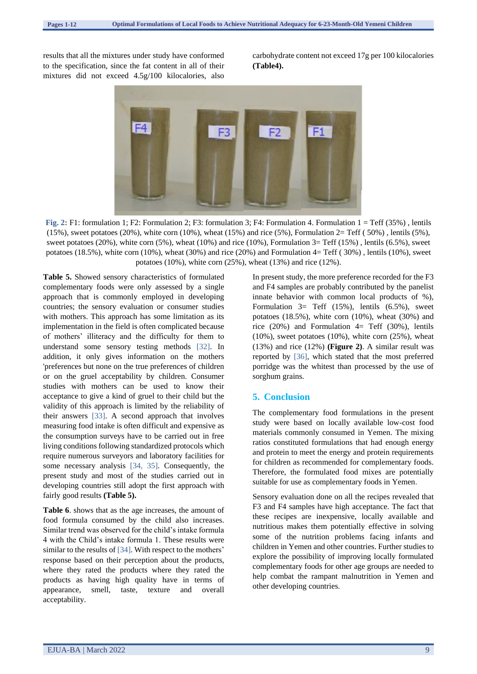results that all the mixtures under study have conformed to the specification, since the fat content in all of their mixtures did not exceed 4.5g/100 kilocalories, also carbohydrate content not exceed 17g per 100 kilocalories **(Table4).**



**Fig. 2:** F1: formulation 1; F2: Formulation 2; F3: formulation 3; F4: Formulation 4. Formulation 1 = Teff (35%) , lentils  $(15\%)$ , sweet potatoes  $(20\%)$ , white corn  $(10\%)$ , wheat  $(15\%)$  and rice  $(5\%)$ , Formulation  $2=$  Teff  $(50\%)$ , lentils  $(5\%)$ , sweet potatoes (20%), white corn (5%), wheat (10%) and rice (10%), Formulation 3= Teff (15%) , lentils (6.5%), sweet potatoes (18.5%), white corn (10%), wheat (30%) and rice (20%) and Formulation  $4=$  Teff (30%), lentils (10%), sweet potatoes (10%), white corn (25%), wheat (13%) and rice (12%).

**Table 5.** Showed sensory characteristics of formulated complementary foods were only assessed by a single approach that is commonly employed in developing countries; the sensory evaluation or consumer studies with mothers. This approach has some limitation as its implementation in the field is often complicated because of mothers' illiteracy and the difficulty for them to understand some sensory testing methods [32]. In addition, it only gives information on the mothers 'preferences but none on the true preferences of children or on the gruel acceptability by children. Consumer studies with mothers can be used to know their acceptance to give a kind of gruel to their child but the validity of this approach is limited by the reliability of their answers [33]. A second approach that involves measuring food intake is often difficult and expensive as the consumption surveys have to be carried out in free living conditions following standardized protocols which require numerous surveyors and laboratory facilities for some necessary analysis [34, 35]. Consequently, the present study and most of the studies carried out in developing countries still adopt the first approach with fairly good results **(Table 5).**

**Table 6**. shows that as the age increases, the amount of food formula consumed by the child also increases. Similar trend was observed for the child's intake formula 4 with the Child's intake formula 1. These results were similar to the results of [34]. With respect to the mothers' response based on their perception about the products, where they rated the products where they rated the products as having high quality have in terms of appearance, smell, taste, texture and overall acceptability.

In present study, the more preference recorded for the F3 and F4 samples are probably contributed by the panelist innate behavior with common local products of %), Formulation 3= Teff (15%), lentils (6.5%), sweet potatoes (18.5%), white corn (10%), wheat (30%) and rice  $(20%)$  and Formulation 4= Teff  $(30%)$ , lentils  $(10\%)$ , sweet potatoes  $(10\%)$ , white corn  $(25\%)$ , wheat (13%) and rice (12%) **(Figure 2)**. A similar result was reported by [36], which stated that the most preferred porridge was the whitest than processed by the use of sorghum grains.

#### **5. Conclusion**

The complementary food formulations in the present study were based on locally available low-cost food materials commonly consumed in Yemen. The mixing ratios constituted formulations that had enough energy and protein to meet the energy and protein requirements for children as recommended for complementary foods. Therefore, the formulated food mixes are potentially suitable for use as complementary foods in Yemen.

Sensory evaluation done on all the recipes revealed that F3 and F4 samples have high acceptance. The fact that these recipes are inexpensive, locally available and nutritious makes them potentially effective in solving some of the nutrition problems facing infants and children in Yemen and other countries. Further studies to explore the possibility of improving locally formulated complementary foods for other age groups are needed to help combat the rampant malnutrition in Yemen and other developing countries.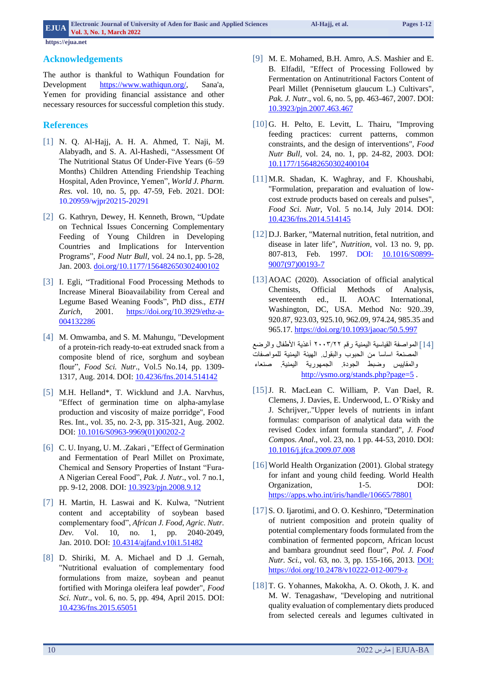## **Acknowledgements**

The author is thankful to Wathiqun Foundation for Development [https://www.wathiqun.org/,](https://www.wathiqun.org/) Sana'a, Yemen for providing financial assistance and other necessary resources for successful completion this study.

## **References**

- [1] N. Q. Al-Hajj, A. H. A. Ahmed, T. Naji, M. Alabyadh, and S. A. Al-Hashedi, "Assessment Of The Nutritional Status Of Under-Five Years (6–59 Months) Children Attending Friendship Teaching Hospital, Aden Province, Yemen", *World J. Pharm. Res.* vol. 10, no. 5, pp. 47-59, Feb. 2021. DOI: 10.20959/wjpr20215-20291
- [2] [G. Kathryn, Dewey,](https://journals.sagepub.com/doi/10.1177/156482650302400102) H. [Kenneth, Brown,](https://journals.sagepub.com/doi/10.1177/156482650302400102) "Update on Technical Issues Concerning Complementary Feeding of Young Children in Developing Countries and Implications for Intervention Programs", *Food Nutr Bull,* vol. 24 no.1, pp. 5-28, Jan. 2003. [doi.org/10.1177/156482650302400102](https://doi.org/10.1177%2F156482650302400102)
- [3] I. Egli, "Traditional Food Processing Methods to Increase Mineral Bioavailability from Cereal and Legume Based Weaning Foods", PhD diss., *ETH Zurich*, 2001. [https://doi.org/10.3929/ethz-a-](https://doi.org/10.3929/ethz-a-004132286)[004132286](https://doi.org/10.3929/ethz-a-004132286)
- [4] M. Omwamba, and S. M. Mahungu, "Development of a protein-rich ready-to-eat extruded snack from a composite blend of rice, sorghum and soybean flour", *Food Sci. Nutr*., [Vol.5 No.14,](https://www.scirp.org/journal/home.aspx?issueid=5213) pp. 1309- 1317, Aug. 2014. DOI: [10.4236/fns.2014.514142](https://doi.org/10.4236/fns.2014.514142)
- [5] M.H. Helland\*, T. Wicklund and J.A. Narvhus, "Effect of germination time on alpha-amylase production and viscosity of maize porridge", Food Res. Int., vol. 35, no. 2-3, pp. 315-321, Aug. 2002. DOI: [10.1016/S0963-9969\(01\)00202-2](http://dx.doi.org/10.1016/S0963-9969(01)00202-2)
- [6] C. U. Inyang, U. M. .Zakari , "Effect of Germination and Fermentation of Pearl Millet on Proximate, Chemical and Sensory Properties of Instant "Fura-A Nigerian Cereal Food", *Pak. J. Nutr*., vol. 7 no.1, pp. 9-12, 2008. DOI: [10.3923/pjn.2008.9.12](https://dx.doi.org/10.3923/pjn.2008.9.12)
- [7] H. Martin, H. Laswai and K. Kulwa, "Nutrient content and acceptability of soybean based complementary food", *African J. Food, Agric. Nutr. Dev.* Vol. 10, no. 1, pp. 2040-2049, Jan. 2010. DOI: [10.4314/ajfand.v10i1.51482](https://doi.org/10.4314/ajfand.v10i1.51482)
- [8] D. Shiriki, M. A. Michael and D .I. Gernah, "Nutritional evaluation of complementary food formulations from maize, soybean and peanut fortified with Moringa oleifera leaf powder", *Food Sci. Nutr*., vol. 6, no. 5, pp. 494, April 2015. DOI: [10.4236/fns.2015.65051](http://dx.doi.org/10.4236/fns.2015.65051)
- [9] M. E. Mohamed, B.H. Amro, A.S. Mashier and E. B. Elfadil, "Effect of Processing Followed by Fermentation on Antinutritional Factors Content of Pearl Millet (Pennisetum glaucum L.) Cultivars", *Pak. J. Nutr*., vol. 6, no. 5, pp. 463-467, 2007. DOI: [10.3923/pjn.2007.463.467](http://dx.doi.org/10.3923/pjn.2007.463.467)
- [10] G. H. Pelto, E. Levitt, L. Thairu, "Improving feeding practices: current patterns, common constraints, and the design of interventions", *Food Nutr Bull,* vol. 24, no. 1, pp. 24-82, 2003. DOI: [10.1177/156482650302400104](https://doi.org/10.1177/156482650302400104)
- [11] M.R. Shadan, K. Waghray, and F. Khoushabi, "Formulation, preparation and evaluation of lowcost extrude products based on cereals and pulses", *Food Sci. Nutr*, Vol. 5 no.14, July 2014. DOI: [10.4236/fns.2014.514145](https://doi.org/10.4236/fns.2014.514145)
- [12] D.J. Barker, "Maternal nutrition, fetal nutrition, and disease in later life", *Nutrition*, vol. 13 no. 9, pp. 807-813, Feb. 1997. [DOI: 10.1016/S0899-](https://doi.org/10.1016/S0899-9007(97)00193-7) [9007\(97\)00193-7](https://doi.org/10.1016/S0899-9007(97)00193-7)
- [13] AOAC (2020). Association of official analytical Chemists, Official Methods of Analysis, seventeenth ed., II. AOAC International, Washington, DC, USA. Method No: 920..39, 920.87, 923.03, 925.10, 962.09, 974.24, 985.35 and 965.17. <https://doi.org/10.1093/jaoac/50.5.997>

]41[المواصفة القياسية اليمنية رقم ٢٠٠٢/٢٢ أغذية األطفال والرضع المصنعة اساسا من الحبوب والبقول. الهيئة اليمنية للمواصفات والمقاييس وضبط الجودة. الجمهورية اليمنية. صنعاء <http://ysmo.org/stands.php?page=5>.

- [15]J. R. MacLean C. William, P. Van Dael, R. Clemens, J. Davies, E. Underwood, L. O'Risky and J. Schrijver,."Upper levels of nutrients in infant formulas: comparison of analytical data with the revised Codex infant formula standard", *J. Food Compos. Anal*., [vol. 23, no. 1](https://www.sciencedirect.com/science/journal/08891575/23/1) pp. 44-53, 2010. DOI: [10.1016/j.jfca.2009.07.008](https://doi.org/10.1016/j.jfca.2009.07.008)
- [16] World Health Organization (2001). Global strategy for infant and young child feeding. World Health Organization, 1-5. DOI: <https://apps.who.int/iris/handle/10665/78801>
- [17] S. O. Ijarotimi, and O. O. Keshinro, "Determination of nutrient composition and protein quality of potential complementary foods formulated from the combination of fermented popcorn, African locust and bambara groundnut seed flour", *Pol. J. Food Nutr. Sci.*, vol. 63, no. 3, pp. 155-166, 2013. [DOI:](https://doi.org/10.2478/v10222-012-0079-z)  <https://doi.org/10.2478/v10222-012-0079-z>
- [18] T. G. Yohannes, Makokha, A. O. Okoth, J. K. and M. W. Tenagashaw, "Developing and nutritional quality evaluation of complementary diets produced from selected cereals and legumes cultivated in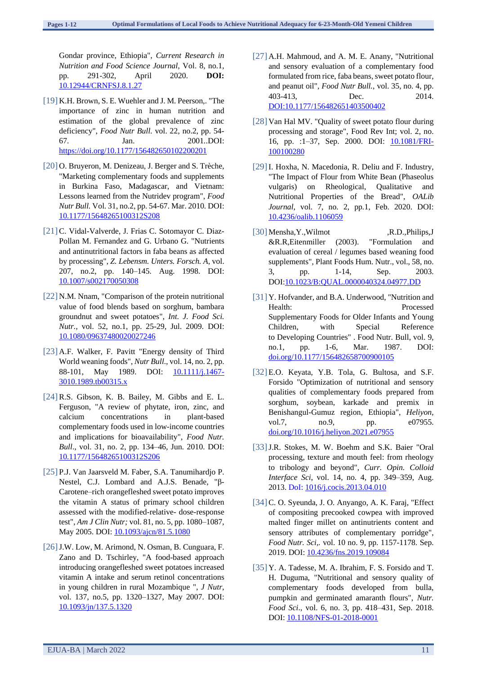Gondar province, Ethiopia", *Current Research in Nutrition and Food Science Journal*, Vol. 8, no.1, pp. 291-302, April 2020. **DOI:**  [10.12944/CRNFSJ.8.1.27](http://dx.doi.org/10.12944/CRNFSJ.8.1.27)

- [19] K.H. Brown, S. E. Wuehler and J. M. Peerson,. "The importance of zinc in human nutrition and estimation of the global prevalence of zinc deficiency", *Food Nutr Bull.* vol. 22, no.2, pp. 54- 67. Jan. 2001*.*.DOI: [https://doi.org/10.1177/156482650102200201](https://doi.org/10.1177%2F156482650102200201)
- [20] O. Bruyeron, M. Denizeau, J. Berger and S. Trèche, "Marketing complementary foods and supplements in Burkina Faso, Madagascar, and Vietnam: Lessons learned from the Nutridev program", *Food Nutr Bull.* Vol. 31, no.2, pp. 54-67. Mar. 2010*.* DOI: [10.1177/15648265100312S208](https://doi.org/10.1177/15648265100312s208)
- [21] C. Vidal-Valverde, J. Frias C. Sotomayor C. Diaz-Pollan M. Fernandez and G. Urbano G. "Nutrients and antinutritional factors in faba beans as affected by processing", *Z. Lebensm. Unters. Forsch. A*, vol. 207, no.2, pp. 140–145. Aug. 1998. DOI: 10.1007/s002170050308
- [22] N.M. Nnam, "Comparison of the protein nutritional value of food blends based on sorghum, bambara groundnut and sweet potatoes", *Int. J. Food Sci. Nutr.*, vol. 52, no.1, pp. 25-29, Jul. 2009. DOI: [10.1080/09637480020027246](https://doi.org/10.1080/09637480020027246)
- [23] A.F. Walker, F. Pavitt "Energy density of Third World weaning foods", *Nutr Bull*., vol. 14, no. 2, pp. 88-101, May 1989. DOI: **[10.1111/j.1467-](http://dx.doi.org/10.1111/j.1467-3010.1989.tb00315.x)** [3010.1989.tb00315.x](http://dx.doi.org/10.1111/j.1467-3010.1989.tb00315.x)
- [24]R.S. Gibson, K. B. Bailey, M. Gibbs and E. L. Ferguson, "A review of phytate, iron, zinc, and calcium concentrations in plant-based complementary foods used in low-income countries and implications for bioavailability", *Food Nutr. Bull*., vol. 31, no. 2, pp. 134–46, Jun. 2010. DOI: [10.1177/15648265100312S206](https://doi.org/10.1177/15648265100312s206)
- [25] P.J. Van Jaarsveld M. Faber, S.A. Tanumihardjo P. Nestel, C.J. Lombard and A.J.S. Benade, "β-Carotene–rich orangefleshed sweet potato improves the vitamin A status of primary school children assessed with the modified-relative- dose-response test", *Am J Clin Nutr;* vol. 81, no. 5, pp. 1080–1087, May 2005. DOI[: 10.1093/ajcn/81.5.1080](https://doi.org/10.1093/ajcn/81.5.1080)
- [26] J.W. Low, M. Arimond, N. Osman, B. Cunguara, F. Zano and D. Tschirley, "A food-based approach introducing orangefleshed sweet potatoes increased vitamin A intake and serum retinol concentrations in young children in rural Mozambique ", *J Nutr*, vol. 137, no.5, pp. 1320–1327, May 2007. DOI: [10.1093/jn/137.5.1320](https://doi.org/10.1093/jn/137.5.1320)
- [27] A.H. Mahmoud, and A. M. E. Anany, "Nutritional and sensory evaluation of a complementary food formulated from rice, faba beans, sweet potato flour, and peanut oil", *Food Nutr Bull.*, vol. 35, no. 4, pp. 403-413, Dec. 2014. [DOI:10.1177/156482651403500402](https://doi.org/10.1177%2F156482651403500402)
- [28] Van Hal MV. "Quality of sweet potato flour during processing and storage", Food Rev Int; vol. 2, no. 16, pp. :1–37, Sep. 2000. [DOI: 10.1081/FRI-](https://doi.org/10.1081/FRI-100100280)[100100280](https://doi.org/10.1081/FRI-100100280)
- [29]I. Hoxha, N. Macedonia, R. Deliu and F. Industry, "The Impact of Flour from White Bean (Phaseolus vulgaris) on Rheological, Qualitative and Nutritional Properties of the Bread", *OALib Journal*, vol. 7, no. 2*,* pp*.*1, Feb. 2020. DOI: [10.4236/oalib.1106059](https://doi.org/10.4236/oalib.1106059)
- [30] Mensha, Y., Wilmot ,R.D., Philips, J &R.R,Eitenmiller (2003). "Formulation and evaluation of cereal / legumes based weaning food supplements", Plant Foods Hum. Nutr., vol., 58, no. 3, pp. 1-14, Sep. 2003. DOI[:10.1023/B:QUAL.0000040324.04977.DD](https://doi.org/10.1023/B%3AQUAL.0000040324.04977.DD)
- [31] Y. Hofvander, and B.A. Underwood, "Nutrition and Health: Processed Supplementary Foods for Older Infants and Young Children, with Special Reference to Developing Countries" . Food Nutr. Bull, vol. 9, no.1, pp. 1-6, Mar. 1987. DOI: [doi.org/10.1177/156482658700900105](https://doi.org/10.1177%2F156482658700900105)
- [32] E.O. Keyata, Y.B. Tola, G. Bultosa, and S.F. Forsido "Optimization of nutritional and sensory qualities of complementary foods prepared from sorghum, soybean, karkade and premix in Benishangul-Gumuz region, Ethiopia", *Heliyon*, vol.7, no.9, pp. e07955. [doi.org/10.1016/j.heliyon.2021.e07955](https://doi.org/10.1016/j.heliyon.2021.e07955)
- [33]J.R. Stokes, M. W. Boehm and S.K. Baier "Oral processing, texture and mouth feel: from rheology to tribology and beyond", *Curr. Opin. Colloid Interface Sci*, vol. 14, no. 4, pp. 349–359, Aug. 2013. [DoI: 1016/j.cocis.2013.04.010](https://doi.org/10.1016/j.cocis.2013.04.010)
- [34]C. O. Syeunda, J. O. Anyango, A. K. Faraj, "Effect of compositing precooked cowpea with improved malted finger millet on antinutrients content and sensory attributes of complementary porridge", *Food Nutr. Sci,.* vol. 10 no. 9, pp. 1157-1178. Sep. 2019. DOI: [10.4236/fns.2019.109084](https://doi.org/10.4236/fns.2019.109084)
- [35] Y. A. Tadesse, M. A. Ibrahim, F. S. Forsido and T. H. Duguma, "Nutritional and sensory quality of complementary foods developed from bulla, pumpkin and germinated amaranth flours", *Nutr. Food Sci*., vol. 6, no. 3, pp. 418–431, Sep. 2018. DOI: [10.1108/NFS-01-2018-0001](http://dx.doi.org/10.1108/NFS-01-2018-0001)